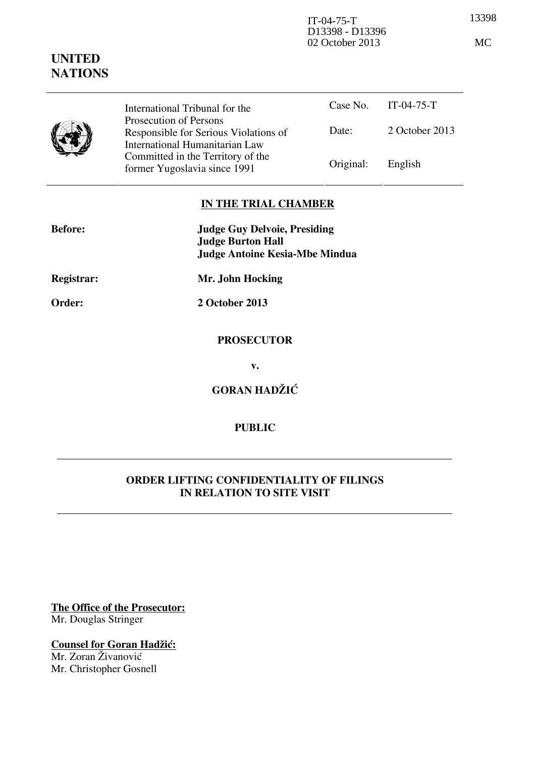13398 IT-04-75-T D13398 - D13396 02 October 2013 MC

## **UNITED NATIONS**

|  | International Tribunal for the                                                                    |           | Case No. $IT-04-75-T$ |
|--|---------------------------------------------------------------------------------------------------|-----------|-----------------------|
|  | Prosecution of Persons<br>Responsible for Serious Violations of<br>International Humanitarian Law | Date:     | 2 October 2013        |
|  | Committed in the Territory of the<br>former Yugoslavia since 1991                                 | Original: | English               |

## **IN THE TRIAL CHAMBER**

| <b>Before:</b>    | <b>Judge Guy Delvoie, Presiding</b><br><b>Judge Burton Hall</b> |  |
|-------------------|-----------------------------------------------------------------|--|
|                   | <b>Judge Antoine Kesia-Mbe Mindua</b>                           |  |
| <b>Registrar:</b> | Mr. John Hocking                                                |  |
| Order:            | 2 October 2013                                                  |  |
|                   | <b>PROSECUTOR</b>                                               |  |
|                   | v.                                                              |  |
|                   | <b>GORAN HADŽIĆ</b>                                             |  |

## **PUBLIC**

## **ORDER LIFTING CONFIDENTIALITY OF FILINGS IN RELATION TO SITE VISIT**

**The Office of the Prosecutor:** Mr. Douglas Stringer

**Counsel for Goran Hadžić:** 

Mr. Zoran Živanović Mr. Christopher Gosnell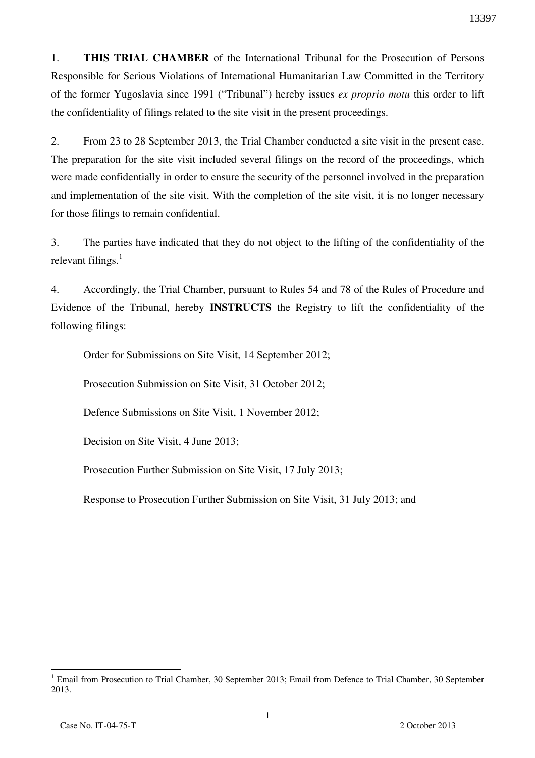1. **THIS TRIAL CHAMBER** of the International Tribunal for the Prosecution of Persons Responsible for Serious Violations of International Humanitarian Law Committed in the Territory of the former Yugoslavia since 1991 ("Tribunal") hereby issues *ex proprio motu* this order to lift the confidentiality of filings related to the site visit in the present proceedings.

2. From 23 to 28 September 2013, the Trial Chamber conducted a site visit in the present case. The preparation for the site visit included several filings on the record of the proceedings, which were made confidentially in order to ensure the security of the personnel involved in the preparation and implementation of the site visit. With the completion of the site visit, it is no longer necessary for those filings to remain confidential.

3. The parties have indicated that they do not object to the lifting of the confidentiality of the relevant filings. $<sup>1</sup>$ </sup>

4. Accordingly, the Trial Chamber, pursuant to Rules 54 and 78 of the Rules of Procedure and Evidence of the Tribunal, hereby **INSTRUCTS** the Registry to lift the confidentiality of the following filings:

Order for Submissions on Site Visit, 14 September 2012;

Prosecution Submission on Site Visit, 31 October 2012;

Defence Submissions on Site Visit, 1 November 2012;

Decision on Site Visit, 4 June 2013;

Prosecution Further Submission on Site Visit, 17 July 2013;

Response to Prosecution Further Submission on Site Visit, 31 July 2013; and

 $\overline{a}$ <sup>1</sup> Email from Prosecution to Trial Chamber, 30 September 2013; Email from Defence to Trial Chamber, 30 September 2013.